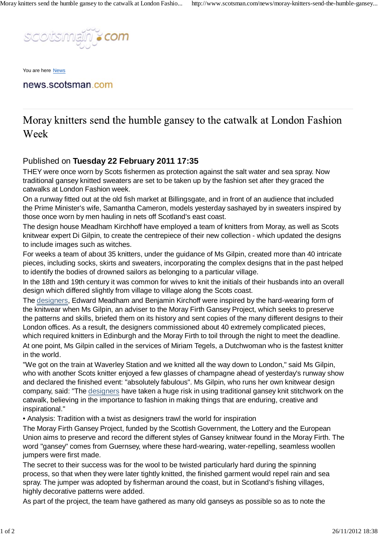

You are here News

news.scotsman.com

Moray knitters send the humble gansey to the catwalk at London Fashion Week

## Published on **Tuesday 22 February 2011 17:35**

THEY were once worn by Scots fishermen as protection against the salt water and sea spray. Now traditional gansey knitted sweaters are set to be taken up by the fashion set after they graced the catwalks at London Fashion week.

On a runway fitted out at the old fish market at Billingsgate, and in front of an audience that included the Prime Minister's wife, Samantha Cameron, models yesterday sashayed by in sweaters inspired by those once worn by men hauling in nets off Scotland's east coast.

The design house Meadham Kirchhoff have employed a team of knitters from Moray, as well as Scots knitwear expert Di Gilpin, to create the centrepiece of their new collection - which updated the designs to include images such as witches.

For weeks a team of about 35 knitters, under the guidance of Ms Gilpin, created more than 40 intricate pieces, including socks, skirts and sweaters, incorporating the complex designs that in the past helped to identify the bodies of drowned sailors as belonging to a particular village.

In the 18th and 19th century it was common for wives to knit the initials of their husbands into an overall design which differed slightly from village to village along the Scots coast.

The designers, Edward Meadham and Benjamin Kirchoff were inspired by the hard-wearing form of the knitwear when Ms Gilpin, an adviser to the Moray Firth Gansey Project, which seeks to preserve the patterns and skills, briefed them on its history and sent copies of the many different designs to their London offices. As a result, the designers commissioned about 40 extremely complicated pieces, which required knitters in Edinburgh and the Moray Firth to toil through the night to meet the deadline. At one point, Ms Gilpin called in the services of Miriam Tegels, a Dutchwoman who is the fastest knitter in the world.

"We got on the train at Waverley Station and we knitted all the way down to London," said Ms Gilpin, who with another Scots knitter enjoyed a few glasses of champagne ahead of yesterday's runway show and declared the finished event: "absolutely fabulous". Ms Gilpin, who runs her own knitwear design company, said: "The designers have taken a huge risk in using traditional gansey knit stitchwork on the catwalk, believing in the importance to fashion in making things that are enduring, creative and inspirational."

• Analysis: Tradition with a twist as designers trawl the world for inspiration

The Moray Firth Gansey Project, funded by the Scottish Government, the Lottery and the European Union aims to preserve and record the different styles of Gansey knitwear found in the Moray Firth. The word "gansey" comes from Guernsey, where these hard-wearing, water-repelling, seamless woollen jumpers were first made.

The secret to their success was for the wool to be twisted particularly hard during the spinning process, so that when they were later tightly knitted, the finished garment would repel rain and sea spray. The jumper was adopted by fisherman around the coast, but in Scotland's fishing villages, highly decorative patterns were added.

As part of the project, the team have gathered as many old ganseys as possible so as to note the